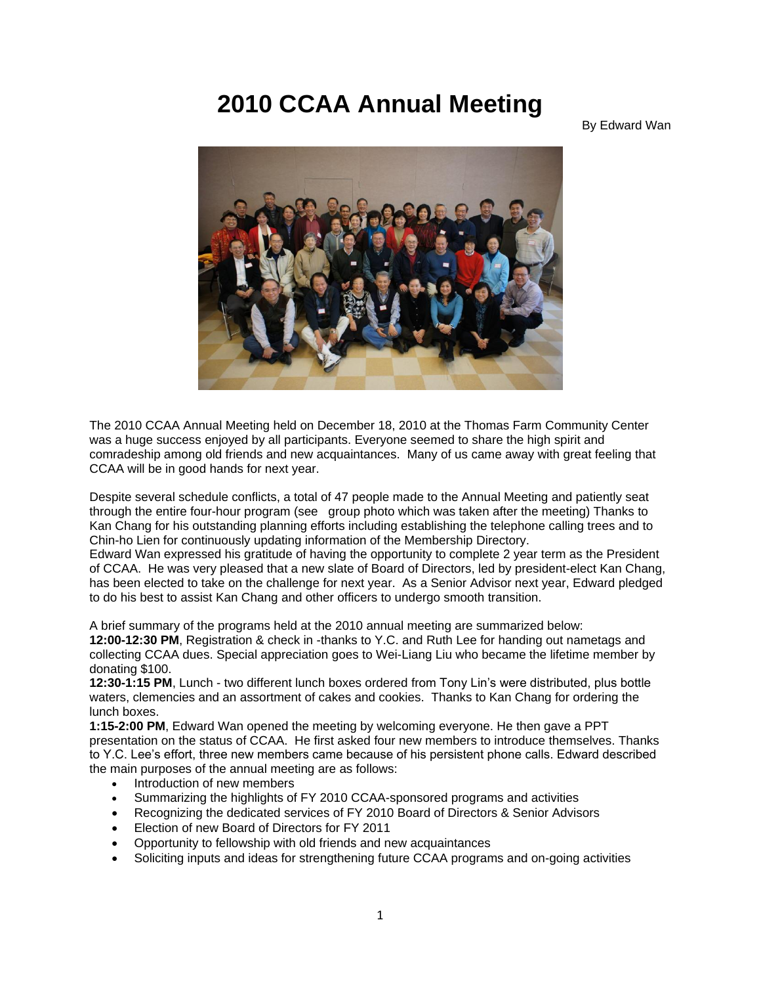## **2010 CCAA Annual Meeting**

## By Edward Wan



The 2010 CCAA Annual Meeting held on December 18, 2010 at the Thomas Farm Community Center was a huge success enjoyed by all participants. Everyone seemed to share the high spirit and comradeship among old friends and new acquaintances. Many of us came away with great feeling that CCAA will be in good hands for next year.

Despite several schedule conflicts, a total of 47 people made to the Annual Meeting and patiently seat through the entire four-hour program (see group photo which was taken after the meeting) Thanks to Kan Chang for his outstanding planning efforts including establishing the telephone calling trees and to Chin-ho Lien for continuously updating information of the Membership Directory.

Edward Wan expressed his gratitude of having the opportunity to complete 2 year term as the President of CCAA. He was very pleased that a new slate of Board of Directors, led by president-elect Kan Chang, has been elected to take on the challenge for next year. As a Senior Advisor next year, Edward pledged to do his best to assist Kan Chang and other officers to undergo smooth transition.

A brief summary of the programs held at the 2010 annual meeting are summarized below:

**12:00-12:30 PM**, Registration & check in -thanks to Y.C. and Ruth Lee for handing out nametags and collecting CCAA dues. Special appreciation goes to Wei-Liang Liu who became the lifetime member by donating \$100.

**12:30-1:15 PM**, Lunch - two different lunch boxes ordered from Tony Lin's were distributed, plus bottle waters, clemencies and an assortment of cakes and cookies. Thanks to Kan Chang for ordering the lunch boxes.

**1:15-2:00 PM**, Edward Wan opened the meeting by welcoming everyone. He then gave a PPT presentation on the status of CCAA. He first asked four new members to introduce themselves. Thanks to Y.C. Lee's effort, three new members came because of his persistent phone calls. Edward described the main purposes of the annual meeting are as follows:

- Introduction of new members
- Summarizing the highlights of FY 2010 CCAA-sponsored programs and activities
- Recognizing the dedicated services of FY 2010 Board of Directors & Senior Advisors
- Election of new Board of Directors for FY 2011
- Opportunity to fellowship with old friends and new acquaintances
- Soliciting inputs and ideas for strengthening future CCAA programs and on-going activities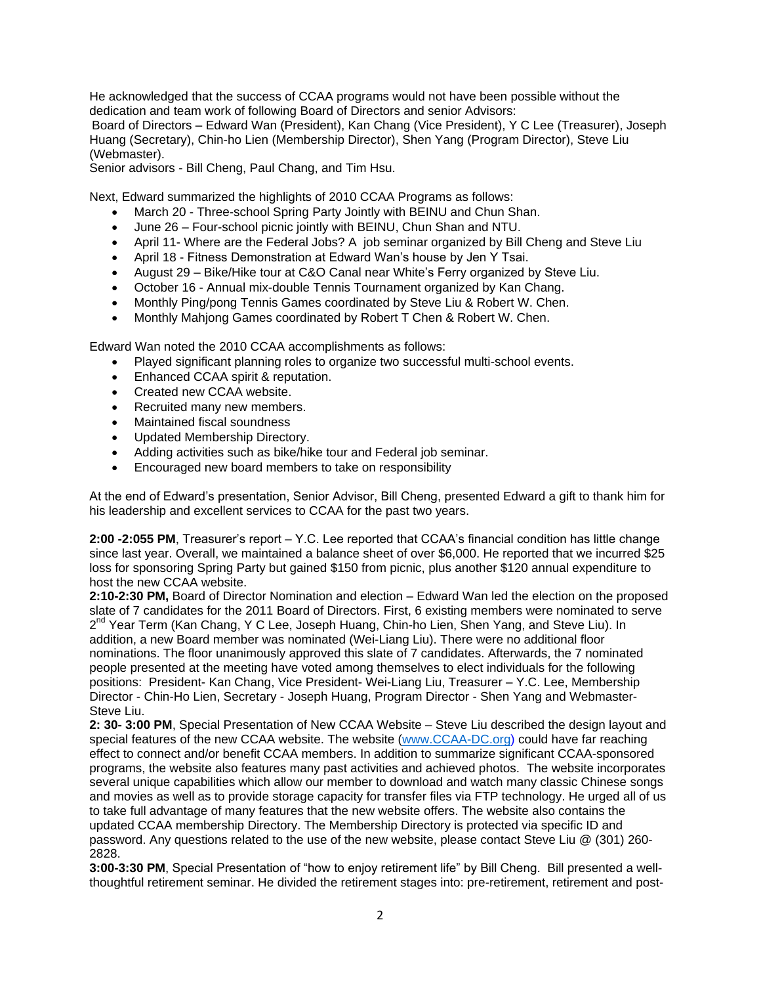He acknowledged that the success of CCAA programs would not have been possible without the dedication and team work of following Board of Directors and senior Advisors: Board of Directors – Edward Wan (President), Kan Chang (Vice President), Y C Lee (Treasurer), Joseph Huang (Secretary), Chin-ho Lien (Membership Director), Shen Yang (Program Director), Steve Liu (Webmaster).

Senior advisors - Bill Cheng, Paul Chang, and Tim Hsu.

Next, Edward summarized the highlights of 2010 CCAA Programs as follows:

- March 20 Three-school Spring Party Jointly with BEINU and Chun Shan.
- June 26 Four-school picnic jointly with BEINU, Chun Shan and NTU.
- April 11- Where are the Federal Jobs? A job seminar organized by Bill Cheng and Steve Liu
- April 18 Fitness Demonstration at Edward Wan's house by Jen Y Tsai.
- August 29 Bike/Hike tour at C&O Canal near White's Ferry organized by Steve Liu.
- October 16 Annual mix-double Tennis Tournament organized by Kan Chang.
- Monthly Ping/pong Tennis Games coordinated by Steve Liu & Robert W. Chen.
- Monthly Mahjong Games coordinated by Robert T Chen & Robert W. Chen.

Edward Wan noted the 2010 CCAA accomplishments as follows:

- Played significant planning roles to organize two successful multi-school events.
- Enhanced CCAA spirit & reputation.
- Created new CCAA website.
- Recruited many new members.
- Maintained fiscal soundness
- Updated Membership Directory.
- Adding activities such as bike/hike tour and Federal job seminar.
- Encouraged new board members to take on responsibility

At the end of Edward's presentation, Senior Advisor, Bill Cheng, presented Edward a gift to thank him for his leadership and excellent services to CCAA for the past two years.

**2:00 -2:055 PM**, Treasurer's report – Y.C. Lee reported that CCAA's financial condition has little change since last year. Overall, we maintained a balance sheet of over \$6,000. He reported that we incurred \$25 loss for sponsoring Spring Party but gained \$150 from picnic, plus another \$120 annual expenditure to host the new CCAA website.

**2:10-2:30 PM,** Board of Director Nomination and election – Edward Wan led the election on the proposed slate of 7 candidates for the 2011 Board of Directors. First, 6 existing members were nominated to serve 2<sup>nd</sup> Year Term (Kan Chang, Y C Lee, Joseph Huang, Chin-ho Lien, Shen Yang, and Steve Liu). In addition, a new Board member was nominated (Wei-Liang Liu). There were no additional floor nominations. The floor unanimously approved this slate of 7 candidates. Afterwards, the 7 nominated people presented at the meeting have voted among themselves to elect individuals for the following positions: President- Kan Chang, Vice President- Wei-Liang Liu, Treasurer – Y.C. Lee, Membership Director - Chin-Ho Lien, Secretary - Joseph Huang, Program Director - Shen Yang and Webmaster-Steve Liu.

**2: 30- 3:00 PM**, Special Presentation of New CCAA Website – Steve Liu described the design layout and special features of the new CCAA website. The website [\(www.CCAA-DC.org\)](http://www.ccaa-dc.org/) could have far reaching effect to connect and/or benefit CCAA members. In addition to summarize significant CCAA-sponsored programs, the website also features many past activities and achieved photos. The website incorporates several unique capabilities which allow our member to download and watch many classic Chinese songs and movies as well as to provide storage capacity for transfer files via FTP technology. He urged all of us to take full advantage of many features that the new website offers. The website also contains the updated CCAA membership Directory. The Membership Directory is protected via specific ID and password. Any questions related to the use of the new website, please contact Steve Liu @ (301) 260- 2828.

**3:00-3:30 PM**, Special Presentation of "how to enjoy retirement life" by Bill Cheng. Bill presented a wellthoughtful retirement seminar. He divided the retirement stages into: pre-retirement, retirement and post